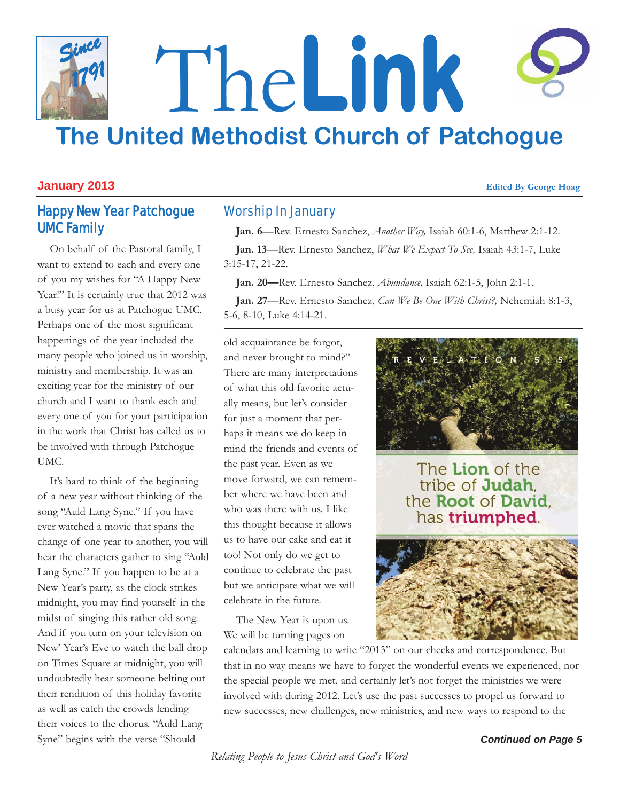

### **January 2013 Edited By George Hoag**

# Happy New Year Patchogue UMC Family

On behalf of the Pastoral family, I want to extend to each and every one of you my wishes for "A Happy New Year!" It is certainly true that 2012 was a busy year for us at Patchogue UMC. Perhaps one of the most significant happenings of the year included the many people who joined us in worship, ministry and membership. It was an exciting year for the ministry of our church and I want to thank each and every one of you for your participation in the work that Christ has called us to be involved with through Patchogue UMC.

It's hard to think of the beginning of a new year without thinking of the song "Auld Lang Syne." If you have ever watched a movie that spans the change of one year to another, you will hear the characters gather to sing "Auld Lang Syne." If you happen to be at a New Year's party, as the clock strikes midnight, you may find yourself in the midst of singing this rather old song. And if you turn on your television on New' Year's Eve to watch the ball drop on Times Square at midnight, you will undoubtedly hear someone belting out their rendition of this holiday favorite as well as catch the crowds lending their voices to the chorus. "Auld Lang Syne" begins with the verse "Should

# Worship In January

**Jan. 6**—Rev. Ernesto Sanchez, *Another Way,* Isaiah 60:1-6, Matthew 2:1-12.

**Jan. 13**—Rev. Ernesto Sanchez, *What We Expect To See,* Isaiah 43:1-7, Luke 3:15-17, 21-22.

**Jan. 20—**Rev. Ernesto Sanchez, *Abundance,* Isaiah 62:1-5, John 2:1-1.

**Jan. 27**—Rev. Ernesto Sanchez, *Can We Be One With Christ?,* Nehemiah 8:1-3, 5-6, 8-10, Luke 4:14-21.

old acquaintance be forgot, and never brought to mind?" There are many interpretations of what this old favorite actually means, but let's consider for just a moment that perhaps it means we do keep in mind the friends and events of the past year. Even as we move forward, we can remember where we have been and who was there with us. I like this thought because it allows us to have our cake and eat it too! Not only do we get to continue to celebrate the past but we anticipate what we will celebrate in the future.

The New Year is upon us. We will be turning pages on



The Lion of the tribe of Judah. the Root of David. has triumphed.



calendars and learning to write "2013" on our checks and correspondence. But that in no way means we have to forget the wonderful events we experienced, nor the special people we met, and certainly let's not forget the ministries we were involved with during 2012. Let's use the past successes to propel us forward to new successes, new challenges, new ministries, and new ways to respond to the

*Continued on Page 5*

*Relating People to Jesus Christ and God's Word*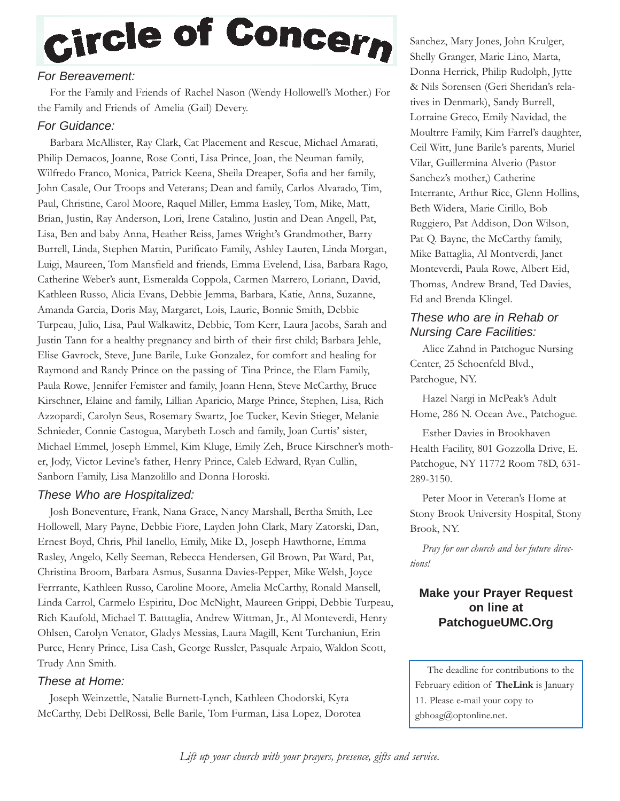# Circle of Concern

# *For Bereavement:*

For the Family and Friends of Rachel Nason (Wendy Hollowell's Mother.) For the Family and Friends of Amelia (Gail) Devery.

# *For Guidance:*

Barbara McAllister, Ray Clark, Cat Placement and Rescue, Michael Amarati, Philip Demacos, Joanne, Rose Conti, Lisa Prince, Joan, the Neuman family, Wilfredo Franco, Monica, Patrick Keena, Sheila Dreaper, Sofia and her family, John Casale, Our Troops and Veterans; Dean and family, Carlos Alvarado, Tim, Paul, Christine, Carol Moore, Raquel Miller, Emma Easley, Tom, Mike, Matt, Brian, Justin, Ray Anderson, Lori, Irene Catalino, Justin and Dean Angell, Pat, Lisa, Ben and baby Anna, Heather Reiss, James Wright's Grandmother, Barry Burrell, Linda, Stephen Martin, Purificato Family, Ashley Lauren, Linda Morgan, Luigi, Maureen, Tom Mansfield and friends, Emma Evelend, Lisa, Barbara Rago, Catherine Weber's aunt, Esmeralda Coppola, Carmen Marrero, Loriann, David, Kathleen Russo, Alicia Evans, Debbie Jemma, Barbara, Katie, Anna, Suzanne, Amanda Garcia, Doris May, Margaret, Lois, Laurie, Bonnie Smith, Debbie Turpeau, Julio, Lisa, Paul Walkawitz, Debbie, Tom Kerr, Laura Jacobs, Sarah and Justin Tann for a healthy pregnancy and birth of their first child; Barbara Jehle, Elise Gavrock, Steve, June Barile, Luke Gonzalez, for comfort and healing for Raymond and Randy Prince on the passing of Tina Prince, the Elam Family, Paula Rowe, Jennifer Femister and family, Joann Henn, Steve McCarthy, Bruce Kirschner, Elaine and family, Lillian Aparicio, Marge Prince, Stephen, Lisa, Rich Azzopardi, Carolyn Seus, Rosemary Swartz, Joe Tucker, Kevin Stieger, Melanie Schnieder, Connie Castogua, Marybeth Losch and family, Joan Curtis' sister, Michael Emmel, Joseph Emmel, Kim Kluge, Emily Zeh, Bruce Kirschner's mother, Jody, Victor Levine's father, Henry Prince, Caleb Edward, Ryan Cullin, Sanborn Family, Lisa Manzolillo and Donna Horoski.

# *These Who are Hospitalized:*

Josh Boneventure, Frank, Nana Grace, Nancy Marshall, Bertha Smith, Lee Hollowell, Mary Payne, Debbie Fiore, Layden John Clark, Mary Zatorski, Dan, Ernest Boyd, Chris, Phil Ianello, Emily, Mike D., Joseph Hawthorne, Emma Rasley, Angelo, Kelly Seeman, Rebecca Hendersen, Gil Brown, Pat Ward, Pat, Christina Broom, Barbara Asmus, Susanna Davies-Pepper, Mike Welsh, Joyce Ferrrante, Kathleen Russo, Caroline Moore, Amelia McCarthy, Ronald Mansell, Linda Carrol, Carmelo Espiritu, Doc McNight, Maureen Grippi, Debbie Turpeau, Rich Kaufold, Michael T. Batttaglia, Andrew Wittman, Jr., Al Monteverdi, Henry Ohlsen, Carolyn Venator, Gladys Messias, Laura Magill, Kent Turchaniun, Erin Purce, Henry Prince, Lisa Cash, George Russler, Pasquale Arpaio, Waldon Scott, Trudy Ann Smith.

# *These at Home:*

Joseph Weinzettle, Natalie Burnett-Lynch, Kathleen Chodorski, Kyra McCarthy, Debi DelRossi, Belle Barile, Tom Furman, Lisa Lopez, Dorotea

Sanchez, Mary Jones, John Krulger, Shelly Granger, Marie Lino, Marta, Donna Herrick, Philip Rudolph, Jytte & Nils Sorensen (Geri Sheridan's relatives in Denmark), Sandy Burrell, Lorraine Greco, Emily Navidad, the Moultrre Family, Kim Farrel's daughter, Ceil Witt, June Barile's parents, Muriel Vilar, Guillermina Alverio (Pastor Sanchez's mother,) Catherine Interrante, Arthur Rice, Glenn Hollins, Beth Widera, Marie Cirillo, Bob Ruggiero, Pat Addison, Don Wilson, Pat Q. Bayne, the McCarthy family, Mike Battaglia, Al Montverdi, Janet Monteverdi, Paula Rowe, Albert Eid, Thomas, Andrew Brand, Ted Davies, Ed and Brenda Klingel.

# *These who are in Rehab or Nursing Care Facilities:*

Alice Zahnd in Patchogue Nursing Center, 25 Schoenfeld Blvd., Patchogue, NY.

Hazel Nargi in McPeak's Adult Home, 286 N. Ocean Ave., Patchogue.

Esther Davies in Brookhaven Health Facility, 801 Gozzolla Drive, E. Patchogue, NY 11772 Room 78D, 631- 289-3150.

Peter Moor in Veteran's Home at Stony Brook University Hospital, Stony Brook, NY.

*Pray for our church and her future directions!*

# **Make your Prayer Request on line at PatchogueUMC.Org**

The deadline for contributions to the February edition of **TheLink** is January 11. Please e-mail your copy to gbhoag@optonline.net.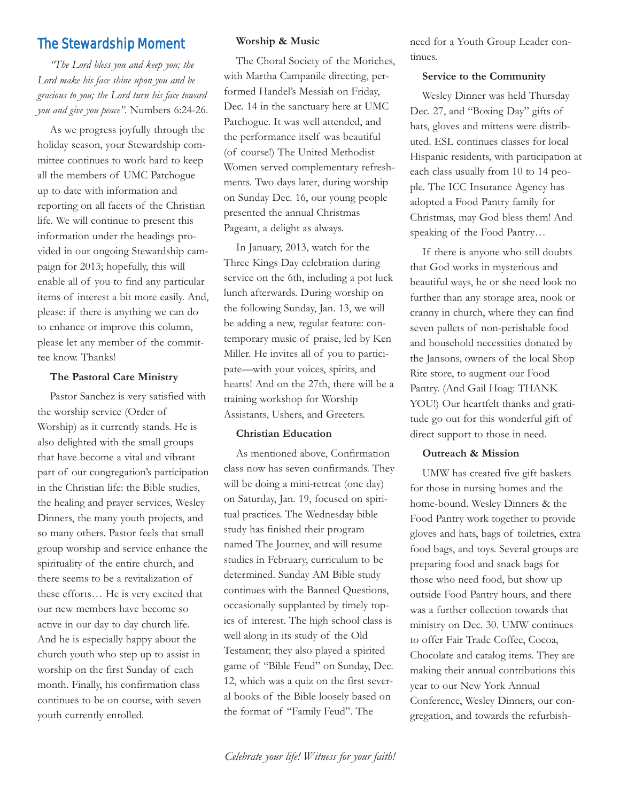# The Stewardship Moment

*"The Lord bless you and keep you; the Lord make his face shine upon you and be gracious to you; the Lord turn his face toward you and give you peace".* Numbers 6:24-26.

As we progress joyfully through the holiday season, your Stewardship committee continues to work hard to keep all the members of UMC Patchogue up to date with information and reporting on all facets of the Christian life. We will continue to present this information under the headings provided in our ongoing Stewardship campaign for 2013; hopefully, this will enable all of you to find any particular items of interest a bit more easily. And, please: if there is anything we can do to enhance or improve this column, please let any member of the committee know. Thanks!

#### **The Pastoral Care Ministry**

Pastor Sanchez is very satisfied with the worship service (Order of Worship) as it currently stands. He is also delighted with the small groups that have become a vital and vibrant part of our congregation's participation in the Christian life: the Bible studies, the healing and prayer services, Wesley Dinners, the many youth projects, and so many others. Pastor feels that small group worship and service enhance the spirituality of the entire church, and there seems to be a revitalization of these efforts… He is very excited that our new members have become so active in our day to day church life. And he is especially happy about the church youth who step up to assist in worship on the first Sunday of each month. Finally, his confirmation class continues to be on course, with seven youth currently enrolled.

#### **Worship & Music**

The Choral Society of the Moriches, with Martha Campanile directing, performed Handel's Messiah on Friday, Dec. 14 in the sanctuary here at UMC Patchogue. It was well attended, and the performance itself was beautiful (of course!) The United Methodist Women served complementary refreshments. Two days later, during worship on Sunday Dec. 16, our young people presented the annual Christmas Pageant, a delight as always.

In January, 2013, watch for the Three Kings Day celebration during service on the 6th, including a pot luck lunch afterwards. During worship on the following Sunday, Jan. 13, we will be adding a new, regular feature: contemporary music of praise, led by Ken Miller. He invites all of you to participate—with your voices, spirits, and hearts! And on the 27th, there will be a training workshop for Worship Assistants, Ushers, and Greeters.

#### **Christian Education**

As mentioned above, Confirmation class now has seven confirmands. They will be doing a mini-retreat (one day) on Saturday, Jan. 19, focused on spiritual practices. The Wednesday bible study has finished their program named The Journey, and will resume studies in February, curriculum to be determined. Sunday AM Bible study continues with the Banned Questions, occasionally supplanted by timely topics of interest. The high school class is well along in its study of the Old Testament; they also played a spirited game of "Bible Feud" on Sunday, Dec. 12, which was a quiz on the first several books of the Bible loosely based on the format of "Family Feud". The

need for a Youth Group Leader continues.

#### **Service to the Community**

Wesley Dinner was held Thursday Dec. 27, and "Boxing Day" gifts of hats, gloves and mittens were distributed. ESL continues classes for local Hispanic residents, with participation at each class usually from 10 to 14 people. The ICC Insurance Agency has adopted a Food Pantry family for Christmas, may God bless them! And speaking of the Food Pantry…

If there is anyone who still doubts that God works in mysterious and beautiful ways, he or she need look no further than any storage area, nook or cranny in church, where they can find seven pallets of non-perishable food and household necessities donated by the Jansons, owners of the local Shop Rite store, to augment our Food Pantry. (And Gail Hoag: THANK YOU!) Our heartfelt thanks and gratitude go out for this wonderful gift of direct support to those in need.

#### **Outreach & Mission**

UMW has created five gift baskets for those in nursing homes and the home-bound. Wesley Dinners & the Food Pantry work together to provide gloves and hats, bags of toiletries, extra food bags, and toys. Several groups are preparing food and snack bags for those who need food, but show up outside Food Pantry hours, and there was a further collection towards that ministry on Dec. 30. UMW continues to offer Fair Trade Coffee, Cocoa, Chocolate and catalog items. They are making their annual contributions this year to our New York Annual Conference, Wesley Dinners, our congregation, and towards the refurbish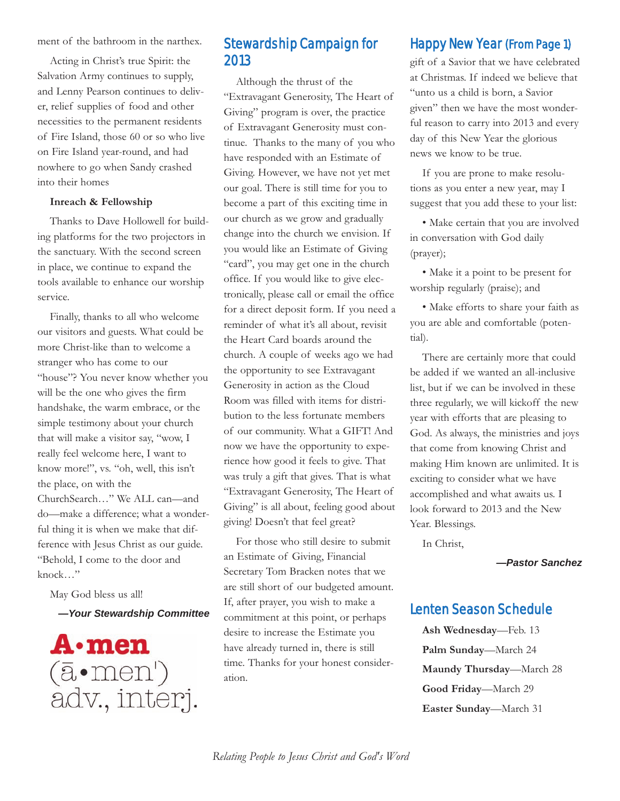ment of the bathroom in the narthex.

Acting in Christ's true Spirit: the Salvation Army continues to supply, and Lenny Pearson continues to deliver, relief supplies of food and other necessities to the permanent residents of Fire Island, those 60 or so who live on Fire Island year-round, and had nowhere to go when Sandy crashed into their homes

#### **Inreach & Fellowship**

Thanks to Dave Hollowell for building platforms for the two projectors in the sanctuary. With the second screen in place, we continue to expand the tools available to enhance our worship service.

Finally, thanks to all who welcome our visitors and guests. What could be more Christ-like than to welcome a stranger who has come to our "house"? You never know whether you will be the one who gives the firm handshake, the warm embrace, or the simple testimony about your church that will make a visitor say, "wow, I really feel welcome here, I want to know more!", vs. "oh, well, this isn't the place, on with the ChurchSearch…" We ALL can—and do—make a difference; what a wonderful thing it is when we make that difference with Jesus Christ as our guide. "Behold, I come to the door and knock…"

May God bless us all!

*—Your Stewardship Committee*



# Stewardship Campaign for 2013

Although the thrust of the "Extravagant Generosity, The Heart of Giving" program is over, the practice of Extravagant Generosity must continue. Thanks to the many of you who have responded with an Estimate of Giving. However, we have not yet met our goal. There is still time for you to become a part of this exciting time in our church as we grow and gradually change into the church we envision. If you would like an Estimate of Giving "card", you may get one in the church office. If you would like to give electronically, please call or email the office for a direct deposit form. If you need a reminder of what it's all about, revisit the Heart Card boards around the church. A couple of weeks ago we had the opportunity to see Extravagant Generosity in action as the Cloud Room was filled with items for distribution to the less fortunate members of our community. What a GIFT! And now we have the opportunity to experience how good it feels to give. That was truly a gift that gives. That is what "Extravagant Generosity, The Heart of Giving" is all about, feeling good about giving! Doesn't that feel great?

For those who still desire to submit an Estimate of Giving, Financial Secretary Tom Bracken notes that we are still short of our budgeted amount. If, after prayer, you wish to make a commitment at this point, or perhaps desire to increase the Estimate you have already turned in, there is still time. Thanks for your honest consideration.

# Happy New Year (From Page 1)

gift of a Savior that we have celebrated at Christmas. If indeed we believe that "unto us a child is born, a Savior given" then we have the most wonderful reason to carry into 2013 and every day of this New Year the glorious news we know to be true.

If you are prone to make resolutions as you enter a new year, may I suggest that you add these to your list:

• Make certain that you are involved in conversation with God daily (prayer);

• Make it a point to be present for worship regularly (praise); and

• Make efforts to share your faith as you are able and comfortable (potential).

There are certainly more that could be added if we wanted an all-inclusive list, but if we can be involved in these three regularly, we will kickoff the new year with efforts that are pleasing to God. As always, the ministries and joys that come from knowing Christ and making Him known are unlimited. It is exciting to consider what we have accomplished and what awaits us. I look forward to 2013 and the New Year. Blessings.

In Christ,

*—Pastor Sanchez* 

# Lenten Season Schedule

**Ash Wednesday**—Feb. 13 **Palm Sunday**—March 24 **Maundy Thursday**—March 28 **Good Friday**—March 29 **Easter Sunday**—March 31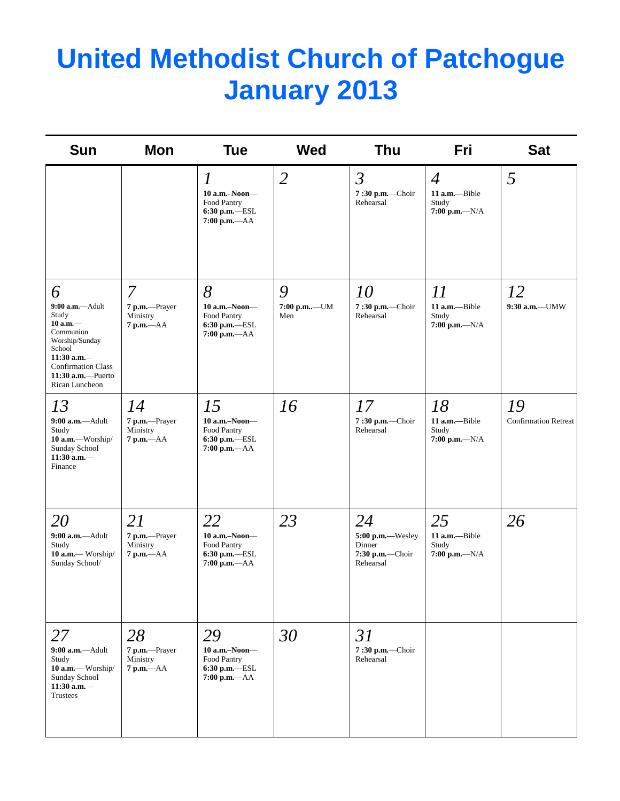# **United Methodist Church of Patchogue January 2013**

| <b>Sun</b>                                                                                                                                                                  | Mon                                             | <b>Tue</b>                                                                             | <b>Wed</b>         | <b>Thu</b>                                                       | <b>Fri</b>                                                     | <b>Sat</b>                        |
|-----------------------------------------------------------------------------------------------------------------------------------------------------------------------------|-------------------------------------------------|----------------------------------------------------------------------------------------|--------------------|------------------------------------------------------------------|----------------------------------------------------------------|-----------------------------------|
|                                                                                                                                                                             |                                                 | $\overline{l}$<br>$10$ a.m.-Noon-<br>Food Pantry<br>$6:30$ p.m.-ESL<br>$7:00 p.m. -AA$ | $\overline{2}$     | $\mathfrak{Z}$<br>7:30 p.m.-Choir<br>Rehearsal                   | $\overline{4}$<br>11 a.m.-Bible<br>Study<br>$7:00$ p.m.- $N/A$ | 5                                 |
| 6                                                                                                                                                                           | 7                                               | 8                                                                                      | 9                  | 10                                                               | 11                                                             | 12                                |
| $9:00$ a.m.-Adult<br>Study<br>$10$ a.m. $-$<br>Communion<br>Worship/Sunday<br>School<br>$11:30$ a.m.-<br><b>Confirmation Class</b><br>$11:30$ a.m.-Puerto<br>Rican Luncheon | 7 p.m.-Prayer<br>Ministry<br>$7$ p.m. $-AA$     | $10$ a.m.-Noon-<br>Food Pantry<br>6:30 p.m.-ESL<br>$7:00$ p.m.- $AA$                   | 7:00 p.m-UM<br>Men | 7:30 p.m.-Choir<br>Rehearsal                                     | 11 a.m.-Bible<br>Study<br>$7:00 p.m. -N/A$                     | 9:30 a.m.-UMW                     |
| 13<br>$9:00$ a.m.-Adult<br>Study<br>10 a.m.-Worship/<br>Sunday School<br>$11:30$ a.m.-<br>Finance                                                                           | 14<br>7 p.m.-Prayer<br>Ministry<br>$7 p.m. -AA$ | 15<br>10 a.m.-Noon-<br>Food Pantry<br>$6:30$ p.m.-ESL<br>7:00 p.m.-AA                  | 16                 | 17<br>7:30 p.m.-Choir<br>Rehearsal                               | 18<br>11 a.m.-Bible<br>Study<br>$7:00 p.m. -N/A$               | 19<br><b>Confirmation Retreat</b> |
| <i>20</i><br>$9:00$ a.m.--Adult<br>Study<br>10 a.m.— Worship/<br>Sunday School/                                                                                             | 21<br>7 p.m.-Prayer<br>Ministry<br>$7 p.m. -AA$ | 22<br>10 a.m.-Noon-<br>Food Pantry<br>6:30 p.m.-ESL<br>$7:00 p.m. -AA$                 | 23                 | 24<br>5:00 p.m.-Wesley<br>Dinner<br>7:30 p.m.-Choir<br>Rehearsal | 25<br>11 a.m.-Bible<br>Study<br>$7:00 p.m. -N/A$               | 26                                |
| 27<br>$9:00$ a.m.-Adult<br>Study<br>10 a.m.— Worship/<br>Sunday School<br>$11:30$ a.m.-<br>Trustees                                                                         | 28<br>7 p.m.-Prayer<br>Ministry<br>$7 p.m. -AA$ | 29<br>$10$ a.m.-Noon-<br>Food Pantry<br>$6:30$ p.m. $-$ ESL<br>7:00 p.m.-- AA          | 30                 | 31<br>7:30 p.m.-Choir<br>Rehearsal                               |                                                                |                                   |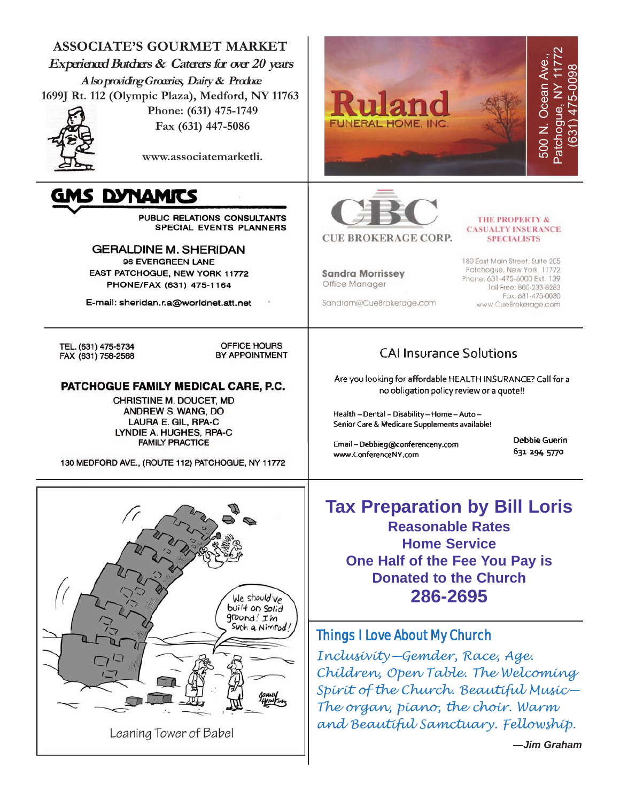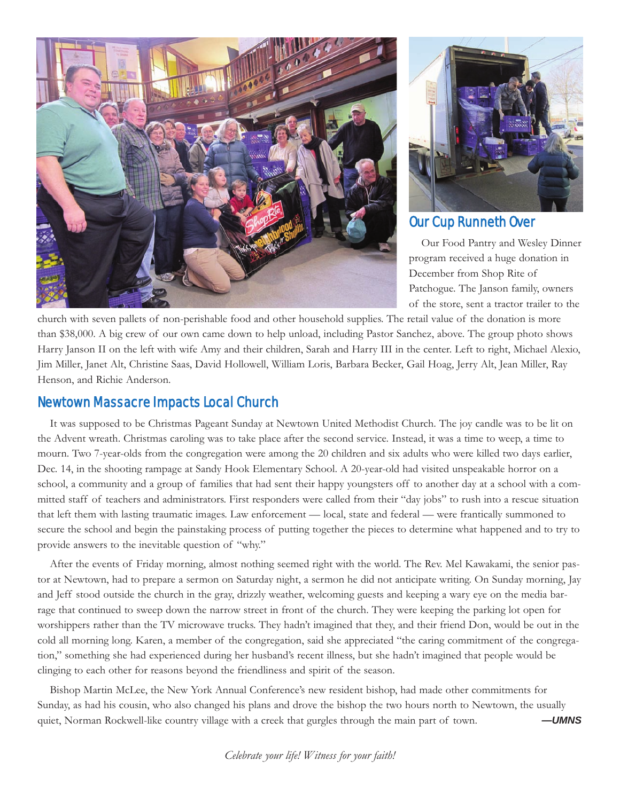



# Our Cup Runneth Over

Our Food Pantry and Wesley Dinner program received a huge donation in December from Shop Rite of Patchogue. The Janson family, owners of the store, sent a tractor trailer to the

church with seven pallets of non-perishable food and other household supplies. The retail value of the donation is more than \$38,000. A big crew of our own came down to help unload, including Pastor Sanchez, above. The group photo shows Harry Janson II on the left with wife Amy and their children, Sarah and Harry III in the center. Left to right, Michael Alexio, Jim Miller, Janet Alt, Christine Saas, David Hollowell, William Loris, Barbara Becker, Gail Hoag, Jerry Alt, Jean Miller, Ray Henson, and Richie Anderson.

# Newtown Massacre Impacts Local Church

It was supposed to be Christmas Pageant Sunday at Newtown United Methodist Church. The joy candle was to be lit on the Advent wreath. Christmas caroling was to take place after the second service. Instead, it was a time to weep, a time to mourn. Two 7-year-olds from the congregation were among the 20 children and six adults who were killed two days earlier, Dec. 14, in the shooting rampage at Sandy Hook Elementary School. A 20-year-old had visited unspeakable horror on a school, a community and a group of families that had sent their happy youngsters off to another day at a school with a committed staff of teachers and administrators. First responders were called from their "day jobs" to rush into a rescue situation that left them with lasting traumatic images. Law enforcement — local, state and federal — were frantically summoned to secure the school and begin the painstaking process of putting together the pieces to determine what happened and to try to provide answers to the inevitable question of "why."

After the events of Friday morning, almost nothing seemed right with the world. The Rev. Mel Kawakami, the senior pastor at Newtown, had to prepare a sermon on Saturday night, a sermon he did not anticipate writing. On Sunday morning, Jay and Jeff stood outside the church in the gray, drizzly weather, welcoming guests and keeping a wary eye on the media barrage that continued to sweep down the narrow street in front of the church. They were keeping the parking lot open for worshippers rather than the TV microwave trucks. They hadn't imagined that they, and their friend Don, would be out in the cold all morning long. Karen, a member of the congregation, said she appreciated "the caring commitment of the congregation," something she had experienced during her husband's recent illness, but she hadn't imagined that people would be clinging to each other for reasons beyond the friendliness and spirit of the season.

Bishop Martin McLee, the New York Annual Conference's new resident bishop, had made other commitments for Sunday, as had his cousin, who also changed his plans and drove the bishop the two hours north to Newtown, the usually quiet, Norman Rockwell-like country village with a creek that gurgles through the main part of town. *—UMNS*